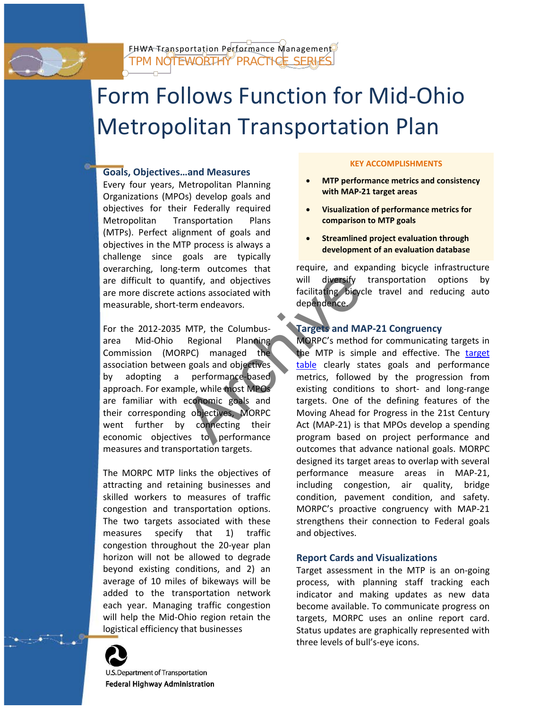

FHWA Transportation Performance Management TPM NOTEWORTHY PRACTICE SERIE

# Form Follows Function for Mid-Ohio Metropolitan Transportation Plan

## **Goals, Objectives…and Measures**

Every four years, Metropolitan Planning Organizations (MPOs) develop goals and objectives for their Federally required Metropolitan Transportation Plans (MTPs). Perfect alignment of goals and objectives in the MTP process is always a challenge since goals are typically overarching, long-term outcomes that are difficult to quantify, and objectives are more discrete actions associated with measurable, short-term endeavors.

antify, and objectives<br>
matrify, and objectives<br>
tractions associated wit[h](http://wwwcf.fhwa.dot.gov/exit.cfm?link=http://weave.morpc.org/sotr/indicators.html?ct=Transportation)<br>
facilitating bicycle<br>
term endeavors.<br>
MTP, the Columbus-<br>
RPC) managed the MTP is simple<br>
m goals and objectives<br>
megional Planning<br>
MORPC's meth For the 2012-2035 MTP, the Columbusarea Mid-Ohio Regional Planning Commission (MORPC) managed the association between goals and objectives by adopting a performance-based approach. For example, while most MPOs are familiar with economic goals and their corresponding objectives, MORPC went further by connecting their economic objectives to performance measures and transportation targets.

The MORPC MTP links the objectives of attracting and retaining businesses and skilled workers to measures of traffic congestion and transportation options. The two targets associated with these measures specify that 1) traffic congestion throughout the 20-year plan horizon will not be allowed to degrade beyond existing conditions, and 2) an average of 10 miles of bikeways will be added to the transportation network each year. Managing traffic congestion will help the Mid-Ohio region retain the logistical efficiency that businesses



#### U.S. Department of Transportation **Federal Highway Administration**

### **KEY ACCOMPLISHMENTS**

- **MTP performance metrics and consistency with MAP-21 target areas**
- **Visualization of performance metrics for comparison to MTP goals**
- **Streamlined project evaluation through development of an evaluation database**

require, and expanding bicycle infrastructure will diversify transportation options by facilitating bicycle travel and reducing auto dependence.

## **Targets and MAP-21 Congruency**

MORPC's method for communicating targets in the MTP is simple and effective. The [target](http://wwwcf.fhwa.dot.gov/exit.cfm?link=http://weave.morpc.org/sotr/indicators.html?ct=Transportation)  table clearly states goals and performance metrics, followed by the progression from existing conditions to short- and long-range targets. One of the defining features of the Moving Ahead for Progress in the 21st Century Act (MAP-21) is that MPOs develop a spending program based on project performance and outcomes that advance national goals. MORPC designed its target areas to overlap with several performance measure areas in MAP-21, including congestion, air quality, bridge condition, pavement condition, and safety. MORPC's proactive congruency with MAP-21 strengthens their connection to Federal goals and objectives.

## **Report Cards and Visualizations**

Target assessment in the MTP is an on-going process, with planning staff tracking each indicator and making updates as new data become available. To communicate progress on targets, MORPC uses an online report card. Status updates are graphically represented with three levels of bull's-eye icons.